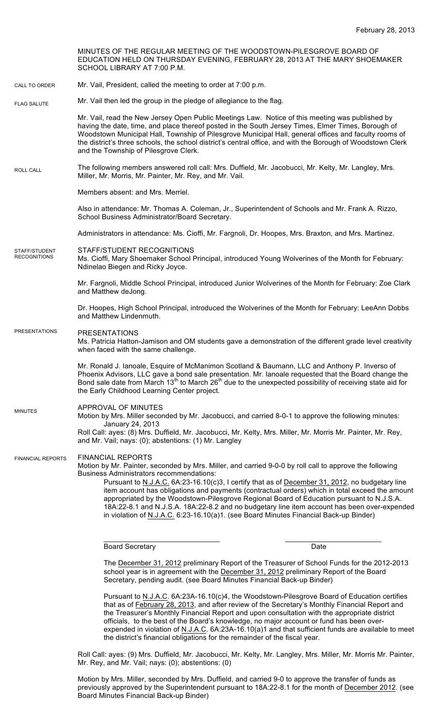MINUTES OF THE REGULAR MEETING OF THE WOODSTOWN-PILESGROVE BOARD OF EDUCATION HELD ON THURSDAY EVENING, FEBRUARY 28, 2013 AT THE MARY SHOEMAKER SCHOOL LIBRARY AT 7:00 P.M. Mr. Vail, President, called the meeting to order at 7:00 p.m. Mr. Vail then led the group in the pledge of allegiance to the flag. Mr. Vail, read the New Jersey Open Public Meetings Law. Notice of this meeting was published by having the date, time, and place thereof posted in the South Jersey Times, Elmer Times, Borough of Woodstown Municipal Hall, Township of Pilesgrove Municipal Hall, general offices and faculty rooms of the district's three schools, the school district's central office, and with the Borough of Woodstown Clerk and the Township of Pilesgrove Clerk. The following members answered roll call: Mrs. Duffield, Mr. Jacobucci, Mr. Kelty, Mr. Langley, Mrs. Miller, Mr. Morris, Mr. Painter, Mr. Rey, and Mr. Vail. Members absent: and Mrs. Merriel. Also in attendance: Mr. Thomas A. Coleman, Jr., Superintendent of Schools and Mr. Frank A. Rizzo, School Business Administrator/Board Secretary. Administrators in attendance: Ms. Cioffi, Mr. Fargnoli, Dr. Hoopes, Mrs. Braxton, and Mrs. Martinez. STAFF/STUDENT RECOGNITIONS Ms. Cioffi, Mary Shoemaker School Principal, introduced Young Wolverines of the Month for February: Ndinelao Biegen and Ricky Joyce. Mr. Fargnoli, Middle School Principal, introduced Junior Wolverines of the Month for February: Zoe Clark and Matthew deJong. Dr. Hoopes, High School Principal, introduced the Wolverines of the Month for February: LeeAnn Dobbs and Matthew Lindenmuth. PRESENTATIONS Ms. Patricia Hatton-Jamison and OM students gave a demonstration of the different grade level creativity when faced with the same challenge. Mr. Ronald J. Ianoale, Esquire of McManimon Scotland & Baumann, LLC and Anthony P. Inverso of Phoenix Advisors, LLC gave a bond sale presentation. Mr. Ianoale requested that the Board change the Bond sale date from March 13<sup>th</sup> to March 26<sup>th</sup> due to the unexpected possibility of receiving state aid for the Early Childhood Learning Center project. APPROVAL OF MINUTES Motion by Mrs. Miller seconded by Mr. Jacobucci, and carried 8-0-1 to approve the following minutes: January 24, 2013 Roll Call: ayes: (8) Mrs. Duffield, Mr. Jacobucci, Mr. Kelty, Mrs. Miller, Mr. Morris Mr. Painter, Mr. Rey, and Mr. Vail; nays: (0); abstentions: (1) Mr. Langley FINANCIAL REPORTS Motion by Mr. Painter, seconded by Mrs. Miller, and carried 9-0-0 by roll call to approve the following Business Administrators recommendations: Pursuant to N.J.A.C. 6A:23-16.10(c)3, I certify that as of December 31, 2012, no budgetary line item account has obligations and payments (contractual orders) which in total exceed the amount appropriated by the Woodstown-Pilesgrove Regional Board of Education pursuant to N.J.S.A. 18A:22-8.1 and N.J.S.A. 18A:22-8.2 and no budgetary line item account has been over-expended in violation of N.J.A.C. 6:23-16.10(a)1. (see Board Minutes Financial Back-up Binder) CALL TO ORDER ROLL CALL FLAG SALUTE MINUTES FINANCIAL REPORTS STAFF/STUDENT **RECOGNITIONS** PRESENTATIONS

Board Secretary Date

The December 31, 2012 preliminary Report of the Treasurer of School Funds for the 2012-2013 school year is in agreement with the December 31, 2012 preliminary Report of the Board Secretary, pending audit. (see Board Minutes Financial Back-up Binder)

\_\_\_\_\_\_\_\_\_\_\_\_\_\_\_\_\_\_\_\_\_\_\_\_\_\_\_\_\_ \_\_\_\_\_\_\_\_\_\_\_\_\_\_\_\_\_\_\_\_\_\_\_\_

Pursuant to N.J.A.C. 6A:23A-16.10(c)4, the Woodstown-Pilesgrove Board of Education certifies that as of February 28, 2013, and after review of the Secretary's Monthly Financial Report and the Treasurer's Monthly Financial Report and upon consultation with the appropriate district officials, to the best of the Board's knowledge, no major account or fund has been overexpended in violation of N.J.A.C. 6A:23A-16.10(a)1 and that sufficient funds are available to meet the district's financial obligations for the remainder of the fiscal year.

Roll Call: ayes: (9) Mrs. Duffield, Mr. Jacobucci, Mr. Kelty, Mr. Langley, Mrs. Miller, Mr. Morris Mr. Painter, Mr. Rey, and Mr. Vail; nays: (0); abstentions: (0)

Motion by Mrs. Miller, seconded by Mrs. Duffield, and carried 9-0 to approve the transfer of funds as previously approved by the Superintendent pursuant to 18A:22-8.1 for the month of December 2012. (see Board Minutes Financial Back-up Binder)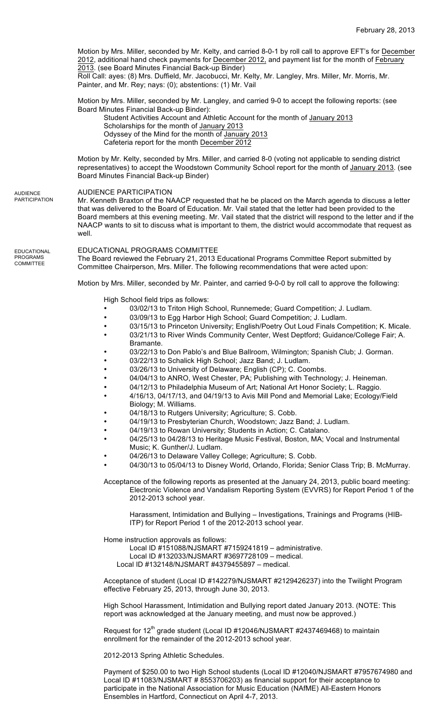February 28, 2013 Motion by Mrs. Miller, seconded by Mr. Kelty, and carried 8-0-1 by roll call to approve EFT's for December 2012, additional hand check payments for December 2012, and payment list for the month of February 2013. (see Board Minutes Financial Back-up Binder) Roll Call: ayes: (8) Mrs. Duffield, Mr. Jacobucci, Mr. Kelty, Mr. Langley, Mrs. Miller, Mr. Morris, Mr. Painter, and Mr. Rey; nays: (0); abstentions: (1) Mr. Vail Motion by Mrs. Miller, seconded by Mr. Langley, and carried 9-0 to accept the following reports: (see Board Minutes Financial Back-up Binder): Student Activities Account and Athletic Account for the month of January 2013 Scholarships for the month of January 2013 Odyssey of the Mind for the month of January 2013 Cafeteria report for the month December 2012 Motion by Mr. Kelty, seconded by Mrs. Miller, and carried 8-0 (voting not applicable to sending district representatives) to accept the Woodstown Community School report for the month of January 2013. (see Board Minutes Financial Back-up Binder) AUDIENCE PARTICIPATION Mr. Kenneth Braxton of the NAACP requested that he be placed on the March agenda to discuss a letter that was delivered to the Board of Education. Mr. Vail stated that the letter had been provided to the Board members at this evening meeting. Mr. Vail stated that the district will respond to the letter and if the NAACP wants to sit to discuss what is important to them, the district would accommodate that request as well. EDUCATIONAL PROGRAMS COMMITTEE The Board reviewed the February 21, 2013 Educational Programs Committee Report submitted by Committee Chairperson, Mrs. Miller. The following recommendations that were acted upon: Motion by Mrs. Miller, seconded by Mr. Painter, and carried 9-0-0 by roll call to approve the following: High School field trips as follows: 03/02/13 to Triton High School, Runnemede; Guard Competition; J. Ludlam. 03/09/13 to Egg Harbor High School; Guard Competition; J. Ludlam. • 03/15/13 to Princeton University; English/Poetry Out Loud Finals Competition; K. Micale. • 03/21/13 to River Winds Community Center, West Deptford; Guidance/College Fair; A. Bramante. 03/22/13 to Don Pablo's and Blue Ballroom, Wilmington; Spanish Club; J. Gorman. • 03/22/13 to Schalick High School; Jazz Band; J. Ludlam. 03/26/13 to University of Delaware; English (CP); C. Coombs. 04/04/13 to ANRO, West Chester, PA; Publishing with Technology; J. Heineman. • 04/12/13 to Philadelphia Museum of Art; National Art Honor Society; L. Raggio. • 4/16/13, 04/17/13, and 04/19/13 to Avis Mill Pond and Memorial Lake; Ecology/Field Biology; M. Williams. 04/18/13 to Rutgers University; Agriculture; S. Cobb. • 04/19/13 to Presbyterian Church, Woodstown; Jazz Band; J. Ludlam. 04/19/13 to Rowan University; Students in Action; C. Catalano. • 04/25/13 to 04/28/13 to Heritage Music Festival, Boston, MA; Vocal and Instrumental Music; K. Gunther/J. Ludlam. 04/26/13 to Delaware Valley College; Agriculture; S. Cobb. • 04/30/13 to 05/04/13 to Disney World, Orlando, Florida; Senior Class Trip; B. McMurray. Acceptance of the following reports as presented at the January 24, 2013, public board meeting: Electronic Violence and Vandalism Reporting System (EVVRS) for Report Period 1 of the 2012-2013 school year. Harassment, Intimidation and Bullying – Investigations, Trainings and Programs (HIB-ITP) for Report Period 1 of the 2012-2013 school year. Home instruction approvals as follows:

Local ID #151088/NJSMART #7159241819 – administrative.

Local ID #132033/NJSMART #3697728109 – medical. Local ID #132148/NJSMART #4379455897 – medical.

Acceptance of student (Local ID #142279/NJSMART #2129426237) into the Twilight Program effective February 25, 2013, through June 30, 2013.

High School Harassment, Intimidation and Bullying report dated January 2013. (NOTE: This report was acknowledged at the January meeting, and must now be approved.)

Request for 12<sup>th</sup> grade student (Local ID #12046/NJSMART #2437469468) to maintain enrollment for the remainder of the 2012-2013 school year.

2012-2013 Spring Athletic Schedules.

**EDUCATIONAL** PROGRAMS COMMITTEE

AUDIENCE PARTICIPATION

> Payment of \$250.00 to two High School students (Local ID #12040/NJSMART #7957674980 and Local ID #11083/NJSMART # 8553706203) as financial support for their acceptance to participate in the National Association for Music Education (NAfME) All-Eastern Honors Ensembles in Hartford, Connecticut on April 4-7, 2013.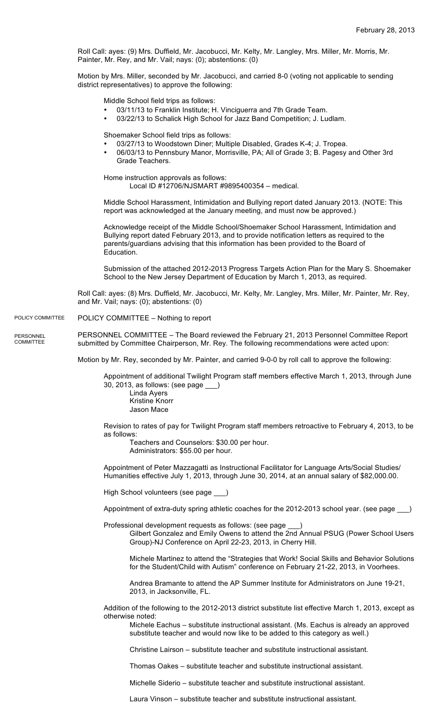Roll Call: ayes: (9) Mrs. Duffield, Mr. Jacobucci, Mr. Kelty, Mr. Langley, Mrs. Miller, Mr. Morris, Mr. Painter, Mr. Rey, and Mr. Vail; nays: (0); abstentions: (0)

Motion by Mrs. Miller, seconded by Mr. Jacobucci, and carried 8-0 (voting not applicable to sending district representatives) to approve the following:

Middle School field trips as follows:

- 03/11/13 to Franklin Institute; H. Vinciguerra and 7th Grade Team.
- 03/22/13 to Schalick High School for Jazz Band Competition; J. Ludlam.

Shoemaker School field trips as follows:

- 03/27/13 to Woodstown Diner; Multiple Disabled, Grades K-4; J. Tropea.
- 06/03/13 to Pennsbury Manor, Morrisville, PA; All of Grade 3; B. Pagesy and Other 3rd Grade Teachers.

Home instruction approvals as follows:

Local ID #12706/NJSMART #9895400354 – medical.

Middle School Harassment, Intimidation and Bullying report dated January 2013. (NOTE: This report was acknowledged at the January meeting, and must now be approved.)

Acknowledge receipt of the Middle School/Shoemaker School Harassment, Intimidation and Bullying report dated February 2013, and to provide notification letters as required to the parents/guardians advising that this information has been provided to the Board of Education.

Submission of the attached 2012-2013 Progress Targets Action Plan for the Mary S. Shoemaker School to the New Jersey Department of Education by March 1, 2013, as required.

Roll Call: ayes: (8) Mrs. Duffield, Mr. Jacobucci, Mr. Kelty, Mr. Langley, Mrs. Miller, Mr. Painter, Mr. Rey, and Mr. Vail; nays: (0); abstentions: (0)

POLICY COMMITTEE – Nothing to report POLICY COMMITTEE

PERSONNEL COMMITTEE – The Board reviewed the February 21, 2013 Personnel Committee Report submitted by Committee Chairperson, Mr. Rey. The following recommendations were acted upon: PERSONNEL **COMMITTEE** 

Motion by Mr. Rey, seconded by Mr. Painter, and carried 9-0-0 by roll call to approve the following:

Appointment of additional Twilight Program staff members effective March 1, 2013, through June 30, 2013, as follows: (see page \_\_\_)

Linda Ayers Kristine Knorr Jason Mace

Revision to rates of pay for Twilight Program staff members retroactive to February 4, 2013, to be as follows:

Teachers and Counselors: \$30.00 per hour. Administrators: \$55.00 per hour.

Appointment of Peter Mazzagatti as Instructional Facilitator for Language Arts/Social Studies/ Humanities effective July 1, 2013, through June 30, 2014, at an annual salary of \$82,000.00.

High School volunteers (see page \_\_\_)

Appointment of extra-duty spring athletic coaches for the 2012-2013 school year. (see page \_\_\_)

Professional development requests as follows: (see page \_\_\_)

Gilbert Gonzalez and Emily Owens to attend the 2nd Annual PSUG (Power School Users Group)-NJ Conference on April 22-23, 2013, in Cherry Hill.

Michele Martinez to attend the "Strategies that Work! Social Skills and Behavior Solutions for the Student/Child with Autism" conference on February 21-22, 2013, in Voorhees.

Andrea Bramante to attend the AP Summer Institute for Administrators on June 19-21, 2013, in Jacksonville, FL.

Addition of the following to the 2012-2013 district substitute list effective March 1, 2013, except as otherwise noted:

Michele Eachus – substitute instructional assistant. (Ms. Eachus is already an approved substitute teacher and would now like to be added to this category as well.)

Christine Lairson – substitute teacher and substitute instructional assistant.

Thomas Oakes – substitute teacher and substitute instructional assistant.

Michelle Siderio – substitute teacher and substitute instructional assistant.

Laura Vinson – substitute teacher and substitute instructional assistant.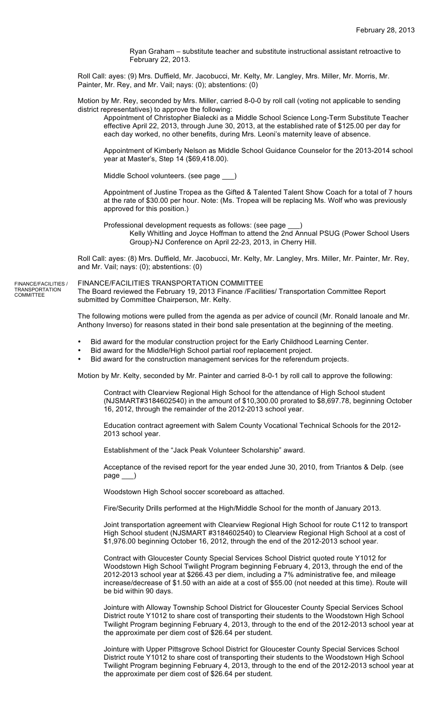Ryan Graham – substitute teacher and substitute instructional assistant retroactive to February 22, 2013.

Roll Call: ayes: (9) Mrs. Duffield, Mr. Jacobucci, Mr. Kelty, Mr. Langley, Mrs. Miller, Mr. Morris, Mr. Painter, Mr. Rey, and Mr. Vail; nays: (0); abstentions: (0)

Motion by Mr. Rey, seconded by Mrs. Miller, carried 8-0-0 by roll call (voting not applicable to sending district representatives) to approve the following:

Appointment of Christopher Bialecki as a Middle School Science Long-Term Substitute Teacher effective April 22, 2013, through June 30, 2013, at the established rate of \$125.00 per day for each day worked, no other benefits, during Mrs. Leoni's maternity leave of absence.

Appointment of Kimberly Nelson as Middle School Guidance Counselor for the 2013-2014 school year at Master's, Step 14 (\$69,418.00).

Middle School volunteers. (see page \_\_\_)

Appointment of Justine Tropea as the Gifted & Talented Talent Show Coach for a total of 7 hours at the rate of \$30.00 per hour. Note: (Ms. Tropea will be replacing Ms. Wolf who was previously approved for this position.)

Professional development requests as follows: (see page

Kelly Whitling and Joyce Hoffman to attend the 2nd Annual PSUG (Power School Users Group)-NJ Conference on April 22-23, 2013, in Cherry Hill.

Roll Call: ayes: (8) Mrs. Duffield, Mr. Jacobucci, Mr. Kelty, Mr. Langley, Mrs. Miller, Mr. Painter, Mr. Rey, and Mr. Vail; nays: (0); abstentions: (0)

FINANCE/FACILITIES TRANSPORTATION COMMITTEE The Board reviewed the February 19, 2013 Finance /Facilities/ Transportation Committee Report submitted by Committee Chairperson, Mr. Kelty. FINANCE/FACILITIES / TRANSPORTATION COMMITTEE

> The following motions were pulled from the agenda as per advice of council (Mr. Ronald Ianoale and Mr. Anthony Inverso) for reasons stated in their bond sale presentation at the beginning of the meeting.

- Bid award for the modular construction project for the Early Childhood Learning Center.
- Bid award for the Middle/High School partial roof replacement project.
- Bid award for the construction management services for the referendum projects.

Motion by Mr. Kelty, seconded by Mr. Painter and carried 8-0-1 by roll call to approve the following:

Contract with Clearview Regional High School for the attendance of High School student (NJSMART#3184602540) in the amount of \$10,300.00 prorated to \$8,697.78, beginning October 16, 2012, through the remainder of the 2012-2013 school year.

Education contract agreement with Salem County Vocational Technical Schools for the 2012- 2013 school year.

Establishment of the "Jack Peak Volunteer Scholarship" award.

Acceptance of the revised report for the year ended June 30, 2010, from Triantos & Delp. (see page \_\_\_)

Woodstown High School soccer scoreboard as attached.

Fire/Security Drills performed at the High/Middle School for the month of January 2013.

Joint transportation agreement with Clearview Regional High School for route C112 to transport High School student (NJSMART #3184602540) to Clearview Regional High School at a cost of \$1,976.00 beginning October 16, 2012, through the end of the 2012-2013 school year.

Contract with Gloucester County Special Services School District quoted route Y1012 for Woodstown High School Twilight Program beginning February 4, 2013, through the end of the 2012-2013 school year at \$266.43 per diem, including a 7% administrative fee, and mileage increase/decrease of \$1.50 with an aide at a cost of \$55.00 (not needed at this time). Route will be bid within 90 days.

Jointure with Alloway Township School District for Gloucester County Special Services School District route Y1012 to share cost of transporting their students to the Woodstown High School Twilight Program beginning February 4, 2013, through to the end of the 2012-2013 school year at the approximate per diem cost of \$26.64 per student.

Jointure with Upper Pittsgrove School District for Gloucester County Special Services School District route Y1012 to share cost of transporting their students to the Woodstown High School Twilight Program beginning February 4, 2013, through to the end of the 2012-2013 school year at the approximate per diem cost of \$26.64 per student.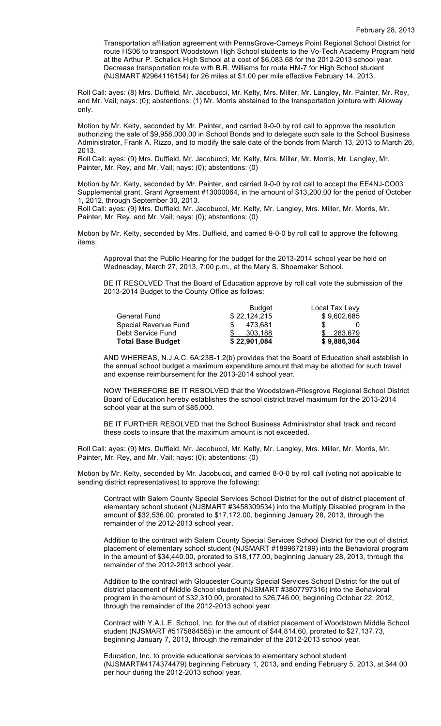Transportation affiliation agreement with PennsGrove-Carneys Point Regional School District for route HS06 to transport Woodstown High School students to the Vo-Tech Academy Program held at the Arthur P. Schalick High School at a cost of \$6,083.68 for the 2012-2013 school year. Decrease transportation route with B.R. Williams for route HM-7 for High School student (NJSMART #2964116154) for 26 miles at \$1.00 per mile effective February 14, 2013.

Roll Call: ayes: (8) Mrs. Duffield, Mr. Jacobucci, Mr. Kelty, Mrs. Miller, Mr. Langley, Mr. Painter, Mr. Rey, and Mr. Vail; nays: (0); abstentions: (1) Mr. Morris abstained to the transportation jointure with Alloway only.

Motion by Mr. Kelty, seconded by Mr. Painter, and carried 9-0-0 by roll call to approve the resolution authorizing the sale of \$9,958,000.00 in School Bonds and to delegate such sale to the School Business Administrator, Frank A. Rizzo, and to modify the sale date of the bonds from March 13, 2013 to March 26, 2013.

Roll Call: ayes: (9) Mrs. Duffield, Mr. Jacobucci, Mr. Kelty, Mrs. Miller, Mr. Morris, Mr. Langley, Mr. Painter, Mr. Rey, and Mr. Vail; nays: (0); abstentions: (0)

Motion by Mr. Kelty, seconded by Mr. Painter, and carried 9-0-0 by roll call to accept the EE4NJ-CO03 Supplemental grant, Grant Agreement #13000064, in the amount of \$13,200.00 for the period of October 1, 2012, through September 30, 2013.

Roll Call: ayes: (9) Mrs. Duffield, Mr. Jacobucci, Mr. Kelty, Mr. Langley, Mrs. Miller, Mr. Morris, Mr. Painter, Mr. Rey, and Mr. Vail; nays: (0); abstentions: (0)

Motion by Mr. Kelty, seconded by Mrs. Duffield, and carried 9-0-0 by roll call to approve the following items:

Approval that the Public Hearing for the budget for the 2013-2014 school year be held on Wednesday, March 27, 2013, 7:00 p.m., at the Mary S. Shoemaker School.

BE IT RESOLVED That the Board of Education approve by roll call vote the submission of the 2013-2014 Budget to the County Office as follows:

|                          | <b>Budget</b> | Local Tax Levy |
|--------------------------|---------------|----------------|
| <b>General Fund</b>      | \$22,124,215  | \$9,602,685    |
| Special Revenue Fund     | 473.681       |                |
| Debt Service Fund        | 303.188       | \$ 283,679     |
| <b>Total Base Budget</b> | \$22,901,084  | \$9,886,364    |

AND WHEREAS, N.J.A.C. 6A:23B-1.2(b) provides that the Board of Education shall establish in the annual school budget a maximum expenditure amount that may be allotted for such travel and expense reimbursement for the 2013-2014 school year.

NOW THEREFORE BE IT RESOLVED that the Woodstown-Pilesgrove Regional School District Board of Education hereby establishes the school district travel maximum for the 2013-2014 school year at the sum of \$85,000.

BE IT FURTHER RESOLVED that the School Business Administrator shall track and record these costs to insure that the maximum amount is not exceeded.

Roll Call: ayes: (9) Mrs. Duffield, Mr. Jacobucci, Mr. Kelty, Mr. Langley, Mrs. Miller, Mr. Morris, Mr. Painter, Mr. Rey, and Mr. Vail; nays: (0); abstentions: (0)

Motion by Mr. Kelty, seconded by Mr. Jacobucci, and carried 8-0-0 by roll call (voting not applicable to sending district representatives) to approve the following:

Contract with Salem County Special Services School District for the out of district placement of elementary school student (NJSMART #3458309534) into the Multiply Disabled program in the amount of \$32,536.00, prorated to \$17,172.00, beginning January 28, 2013, through the remainder of the 2012-2013 school year.

Addition to the contract with Salem County Special Services School District for the out of district placement of elementary school student (NJSMART #1899672199) into the Behavioral program in the amount of \$34,440.00, prorated to \$18,177.00, beginning January 28, 2013, through the remainder of the 2012-2013 school year.

Addition to the contract with Gloucester County Special Services School District for the out of district placement of Middle School student (NJSMART #3807797316) into the Behavioral program in the amount of \$32,310.00, prorated to \$26,746.00, beginning October 22, 2012, through the remainder of the 2012-2013 school year.

Contract with Y.A.L.E. School, Inc. for the out of district placement of Woodstown Middle School student (NJSMART #5175884585) in the amount of \$44,814.60, prorated to \$27,137.73, beginning January 7, 2013, through the remainder of the 2012-2013 school year.

Education, Inc. to provide educational services to elementary school student (NJSMART#4174374479) beginning February 1, 2013, and ending February 5, 2013, at \$44.00 per hour during the 2012-2013 school year.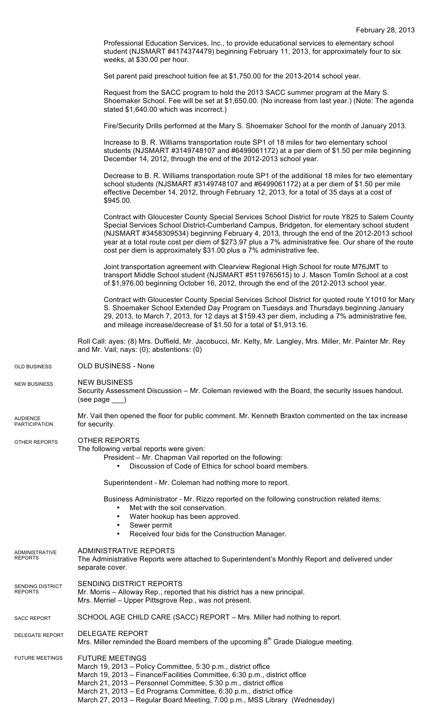Professional Education Services, Inc., to provide educational services to elementary school student (NJSMART #4174374479) beginning February 11, 2013, for approximately four to six weeks, at \$30.00 per hour.

Set parent paid preschool tuition fee at \$1,750.00 for the 2013-2014 school year.

Request from the SACC program to hold the 2013 SACC summer program at the Mary S. Shoemaker School. Fee will be set at \$1,650.00. (No increase from last year.) (Note: The agenda stated \$1,640.00 which was incorrect.)

Fire/Security Drills performed at the Mary S. Shoemaker School for the month of January 2013.

Increase to B. R. Williams transportation route SP1 of 18 miles for two elementary school students (NJSMART #3149748107 and #6499061172) at a per diem of \$1.50 per mile beginning December 14, 2012, through the end of the 2012-2013 school year.

Decrease to B. R. Williams transportation route SP1 of the additional 18 miles for two elementary school students (NJSMART #3149748107 and #6499061172) at a per diem of \$1.50 per mile effective December 14, 2012, through February 12, 2013, for a total of 35 days at a cost of \$945.00.

Contract with Gloucester County Special Services School District for route Y825 to Salem County Special Services School District-Cumberland Campus, Bridgeton, for elementary school student (NJSMART #3458309534) beginning February 4, 2013, through the end of the 2012-2013 school year at a total route cost per diem of \$273.97 plus a 7% administrative fee. Our share of the route cost per diem is approximately \$31.00 plus a 7% administrative fee.

Joint transportation agreement with Clearview Regional High School for route M76JMT to transport Middle School student (NJSMART #5119765615) to J. Mason Tomlin School at a cost of \$1,976.00 beginning October 16, 2012, through the end of the 2012-2013 school year.

Contract with Gloucester County Special Services School District for quoted route Y1010 for Mary S. Shoemaker School Extended Day Program on Tuesdays and Thursdays beginning January 29, 2013, to March 7, 2013, for 12 days at \$159.43 per diem, including a 7% administrative fee, and mileage increase/decrease of \$1.50 for a total of \$1,913.16.

Roll Call: ayes: (8) Mrs. Duffield, Mr. Jacobucci, Mr. Kelty, Mr. Langley, Mrs. Miller, Mr. Painter Mr. Rey and Mr. Vail; nays: (0); abstentions: (0)

OLD BUSINESS - None OLD BUSINESS

NEW BUSINESS Security Assessment Discussion – Mr. Coleman reviewed with the Board, the security issues handout. (see page \_\_\_) NEW BUSINESS

Mr. Vail then opened the floor for public comment. Mr. Kenneth Braxton commented on the tax increase for security. AUDIENCE **PARTICIPATION** 

## OTHER REPORTS OTHER REPORTS

## The following verbal reports were given:

President – Mr. Chapman Vail reported on the following:

• Discussion of Code of Ethics for school board members.

Superintendent - Mr. Coleman had nothing more to report.

Business Administrator - Mr. Rizzo reported on the following construction related items:

- Met with the soil conservation.
- Water hookup has been approved.
- Sewer permit
- Received four bids for the Construction Manager.

## ADMINISTRATIVE REPORTS ADMINISTRATIVE

- The Administrative Reports were attached to Superintendent's Monthly Report and delivered under separate cover. REPORTS
- SENDING DISTRICT REPORTS Mr. Morris – Alloway Rep., reported that his district has a new principal. SENDING DISTRICT REPORTS
- Mrs. Merriel Upper Pittsgrove Rep., was not present.
- SCHOOL AGE CHILD CARE (SACC) REPORT Mrs. Miller had nothing to report. SACC REPORT
- DELEGATE REPORT DELEGATE REPORT
	- Mrs. Miller reminded the Board members of the upcoming  $8<sup>th</sup>$  Grade Dialogue meeting.

FUTURE MEETINGS March 19, 2013 – Policy Committee, 5:30 p.m., district office March 19, 2013 – Finance/Facilities Committee, 6:30 p.m., district office March 21, 2013 – Personnel Committee, 5:30 p.m., district office March 21, 2013 – Ed Programs Committee, 6:30 p.m., district office March 27, 2013 – Regular Board Meeting, 7:00 p.m., MSS Library (Wednesday) FUTURE MEETINGS